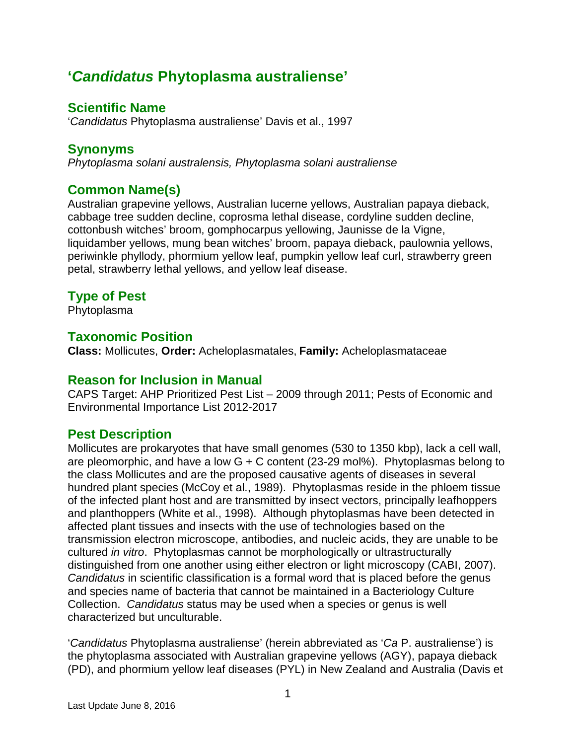# **'***Candidatus* **Phytoplasma australiense'**

# **Scientific Name**

'*Candidatus* Phytoplasma australiense' Davis et al., 1997

# **Synonyms**

*Phytoplasma solani australensis, Phytoplasma solani australiense*

# **Common Name(s)**

Australian grapevine yellows, Australian lucerne yellows, Australian papaya dieback, cabbage tree sudden decline, coprosma lethal disease, cordyline sudden decline, cottonbush witches' broom, gomphocarpus yellowing, Jaunisse de la Vigne, liquidamber yellows, mung bean witches' broom, papaya dieback, paulownia yellows, periwinkle phyllody, phormium yellow leaf, pumpkin yellow leaf curl, strawberry green petal, strawberry lethal yellows, and yellow leaf disease.

# **Type of Pest**

Phytoplasma

# **Taxonomic Position**

**Class:** Mollicutes, **Order:** Acheloplasmatales, **Family:** Acheloplasmataceae

### **Reason for Inclusion in Manual**

CAPS Target: AHP Prioritized Pest List – 2009 through 2011; Pests of Economic and Environmental Importance List 2012-2017

# **Pest Description**

Mollicutes are [prokaryotes](http://en.wikipedia.org/wiki/Bacteria) that have small genomes (530 to 1350 kbp), lack a cell wall, are pleomorphic, and have a low  $G + C$  content (23-29 mol%). Phytoplasmas belong to the class Mollicutes and are the proposed causative agents of diseases in several hundred plant species (McCoy et al., 1989). Phytoplasmas reside in the phloem tissue of the infected plant host and are transmitted by insect vectors, principally leafhoppers and planthoppers (White et al., 1998). Although phytoplasmas have been detected in affected plant tissues and insects with the use of technologies based on the transmission electron microscope, antibodies, and nucleic acids, they are unable to be cultured *in vitro*. Phytoplasmas cannot be morphologically or ultrastructurally distinguished from one another using either electron or light microscopy (CABI, 2007). *Candidatus* in scientific classification is a formal word that is placed before the genus and species name of bacteria that cannot be maintained in a Bacteriology Culture Collection. *Candidatus* status may be used when a species or genus is well characterized but unculturable.

'*Candidatus* Phytoplasma australiense' (herein abbreviated as '*Ca* P. australiense') is the phytoplasma associated with Australian grapevine yellows (AGY), papaya dieback (PD), and phormium yellow leaf diseases (PYL) in New Zealand and Australia (Davis et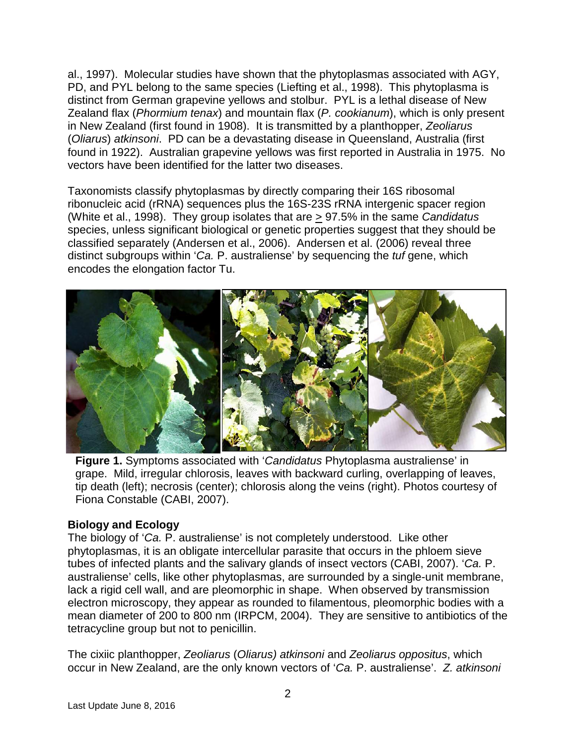al., 1997). Molecular studies have shown that the phytoplasmas associated with AGY, PD, and PYL belong to the same species (Liefting et al., 1998). This phytoplasma is distinct from German grapevine yellows and stolbur. PYL is a lethal disease of New Zealand flax (*Phormium tenax*) and mountain flax (*P. cookianum*), which is only present in New Zealand (first found in 1908). It is transmitted by a planthopper, *Zeoliarus* (*Oliarus*) *atkinsoni*. PD can be a devastating disease in Queensland, Australia (first found in 1922). Australian grapevine yellows was first reported in Australia in 1975. No vectors have been identified for the latter two diseases.

Taxonomists classify phytoplasmas by directly comparing their 16S ribosomal ribonucleic acid (rRNA) sequences plus the 16S-23S rRNA intergenic spacer region (White et al., 1998). They group isolates that are > 97.5% in the same *Candidatus* species, unless significant biological or genetic properties suggest that they should be classified separately (Andersen et al., 2006). Andersen et al. (2006) reveal three distinct subgroups within '*Ca.* P. australiense' by sequencing the *tuf* gene, which encodes the elongation factor Tu.



**Figure 1.** Symptoms associated with '*Candidatus* Phytoplasma australiense' in grape. Mild, irregular chlorosis, leaves with backward curling, overlapping of leaves, tip death (left); necrosis (center); chlorosis along the veins (right). Photos courtesy of Fiona Constable (CABI, 2007).

#### **Biology and Ecology**

The biology of '*Ca.* P. australiense' is not completely understood. Like other phytoplasmas, it is an obligate intercellular parasite that occurs in the phloem sieve tubes of infected plants and the salivary glands of insect vectors (CABI, 2007). '*Ca.* P. australiense' cells, like other phytoplasmas, are surrounded by a single-unit membrane, lack a rigid cell wall, and are pleomorphic in shape. When observed by transmission electron microscopy, they appear as rounded to filamentous, pleomorphic bodies with a mean diameter of 200 to 800 nm (IRPCM, 2004). They are sensitive to antibiotics of the tetracycline group but not to penicillin.

The cixiic planthopper, *Zeoliarus* (*Oliarus) atkinsoni* and *Zeoliarus oppositus*, which occur in New Zealand, are the only known vectors of '*Ca.* P. australiense'. *Z. atkinsoni*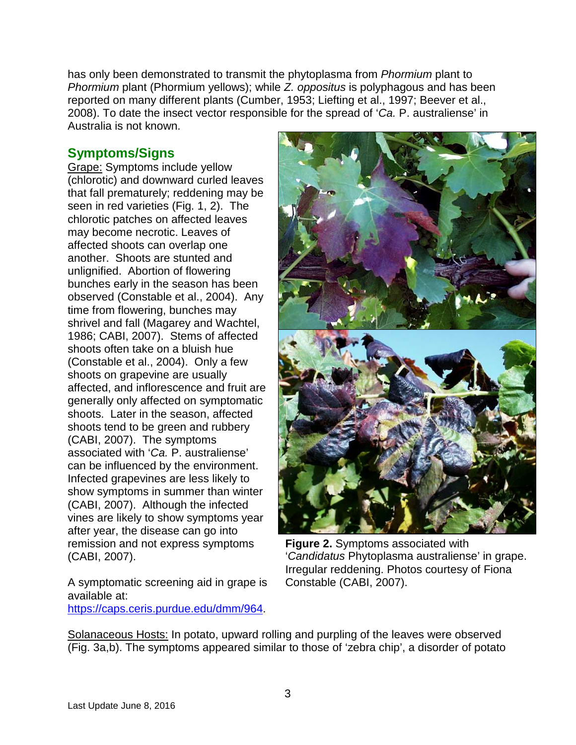has only been demonstrated to transmit the phytoplasma from *Phormium* plant to *Phormium* plant (Phormium yellows); while *Z. oppositus* is polyphagous and has been reported on many different plants (Cumber, 1953; Liefting et al., 1997; Beever et al., 2008). To date the insect vector responsible for the spread of '*Ca.* P. australiense' in Australia is not known.

### **Symptoms/Signs**

Grape: Symptoms include yellow (chlorotic) and downward curled leaves that fall prematurely; reddening may be seen in red varieties (Fig. 1, 2). The chlorotic patches on affected leaves may become necrotic. Leaves of affected shoots can overlap one another. Shoots are stunted and unlignified. Abortion of flowering bunches early in the season has been observed (Constable et al., 2004). Any time from flowering, bunches may shrivel and fall (Magarey and Wachtel, 1986; CABI, 2007). Stems of affected shoots often take on a bluish hue (Constable et al., 2004). Only a few shoots on grapevine are usually affected, and inflorescence and fruit are generally only affected on symptomatic shoots. Later in the season, affected shoots tend to be green and rubbery (CABI, 2007). The symptoms associated with '*Ca.* P. australiense' can be influenced by the environment. Infected grapevines are less likely to show symptoms in summer than winter (CABI, 2007). Although the infected vines are likely to show symptoms year after year, the disease can go into remission and not express symptoms (CABI, 2007).

A symptomatic screening aid in grape is available at: [https://caps.ceris.purdue.edu/dmm/964.](https://caps.ceris.purdue.edu/dmm/964)



**Figure 2.** Symptoms associated with '*Candidatus* Phytoplasma australiense' in grape. Irregular reddening. Photos courtesy of Fiona Constable (CABI, 2007).

Solanaceous Hosts: In potato, upward rolling and purpling of the leaves were observed (Fig. 3a,b). The symptoms appeared similar to those of 'zebra chip', a disorder of potato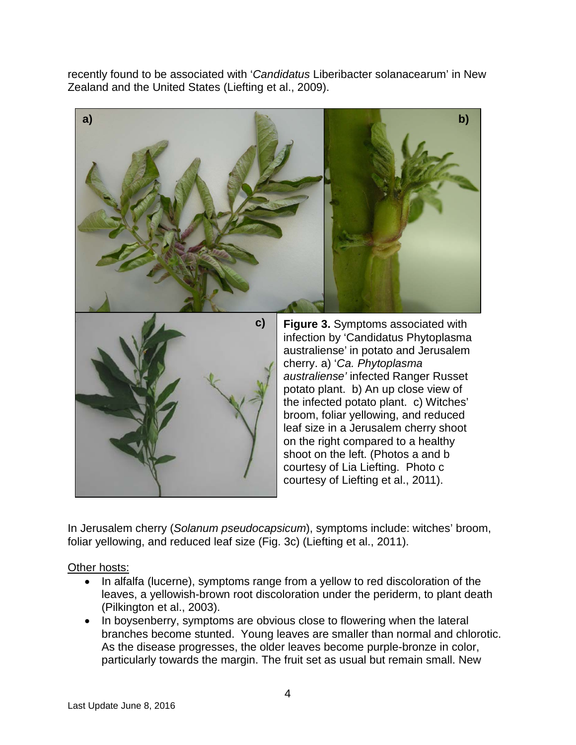recently found to be associated with '*Candidatus* Liberibacter solanacearum' in New Zealand and the United States (Liefting et al., 2009).



In Jerusalem cherry (*Solanum pseudocapsicum*), symptoms include: witches' broom, foliar yellowing, and reduced leaf size (Fig. 3c) (Liefting et al., 2011).

Other hosts:

- In alfalfa (lucerne), symptoms range from a yellow to red discoloration of the leaves, a yellowish-brown root discoloration under the periderm, to plant death (Pilkington et al., 2003).
- In boysenberry, symptoms are obvious close to flowering when the lateral branches become stunted. Young leaves are smaller than normal and chlorotic. As the disease progresses, the older leaves become purple-bronze in color, particularly towards the margin. The fruit set as usual but remain small. New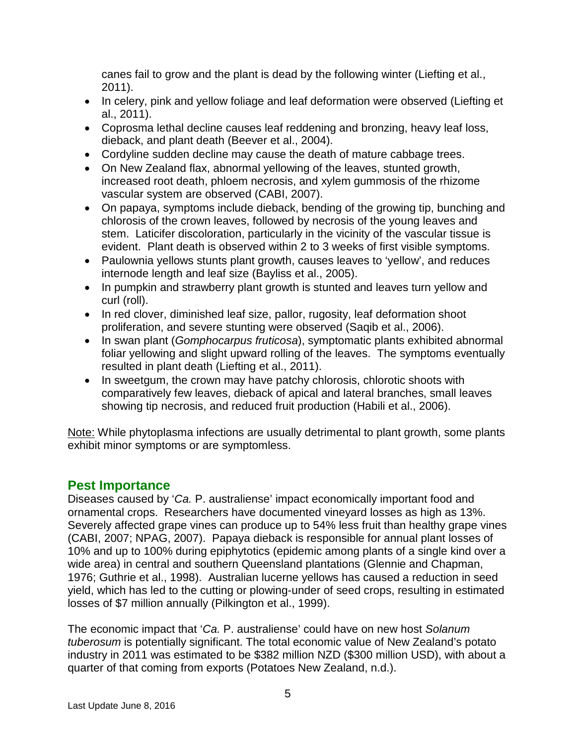canes fail to grow and the plant is dead by the following winter (Liefting et al., 2011).

- In celery, pink and yellow foliage and leaf deformation were observed (Liefting et al., 2011).
- Coprosma lethal decline causes leaf reddening and bronzing, heavy leaf loss, dieback, and plant death (Beever et al., 2004).
- Cordyline sudden decline may cause the death of mature cabbage trees.
- On New Zealand flax, abnormal yellowing of the leaves, stunted growth, increased root death, phloem necrosis, and xylem gummosis of the rhizome vascular system are observed (CABI, 2007).
- On papaya, symptoms include dieback, bending of the growing tip, bunching and chlorosis of the crown leaves, followed by necrosis of the young leaves and stem. Laticifer discoloration, particularly in the vicinity of the vascular tissue is evident. Plant death is observed within 2 to 3 weeks of first visible symptoms.
- Paulownia yellows stunts plant growth, causes leaves to 'yellow', and reduces internode length and leaf size (Bayliss et al., 2005).
- In pumpkin and strawberry plant growth is stunted and leaves turn yellow and curl (roll).
- In red clover, diminished leaf size, pallor, rugosity, leaf deformation shoot proliferation, and severe stunting were observed (Saqib et al., 2006).
- In swan plant (*Gomphocarpus fruticosa*), symptomatic plants exhibited abnormal foliar yellowing and slight upward rolling of the leaves. The symptoms eventually resulted in plant death (Liefting et al., 2011).
- In sweetgum, the crown may have patchy chlorosis, chlorotic shoots with comparatively few leaves, dieback of apical and lateral branches, small leaves showing tip necrosis, and reduced fruit production (Habili et al., 2006).

Note: While phytoplasma infections are usually detrimental to plant growth, some plants exhibit minor symptoms or are symptomless.

# **Pest Importance**

Diseases caused by '*Ca.* P. australiense' impact economically important food and ornamental crops. Researchers have documented vineyard losses as high as 13%. Severely affected grape vines can produce up to 54% less fruit than healthy grape vines (CABI, 2007; NPAG, 2007). Papaya dieback is responsible for annual plant losses of 10% and up to 100% during epiphytotics (epidemic among plants of a single kind over a wide area) in central and southern Queensland plantations (Glennie and Chapman, 1976; Guthrie et al., 1998). Australian lucerne yellows has caused a reduction in seed yield, which has led to the cutting or plowing-under of seed crops, resulting in estimated losses of \$7 million annually (Pilkington et al., 1999).

The economic impact that '*Ca.* P. australiense' could have on new host *Solanum tuberosum* is potentially significant. The total economic value of New Zealand's potato industry in 2011 was estimated to be \$382 million NZD (\$300 million USD), with about a quarter of that coming from exports (Potatoes New Zealand, n.d.).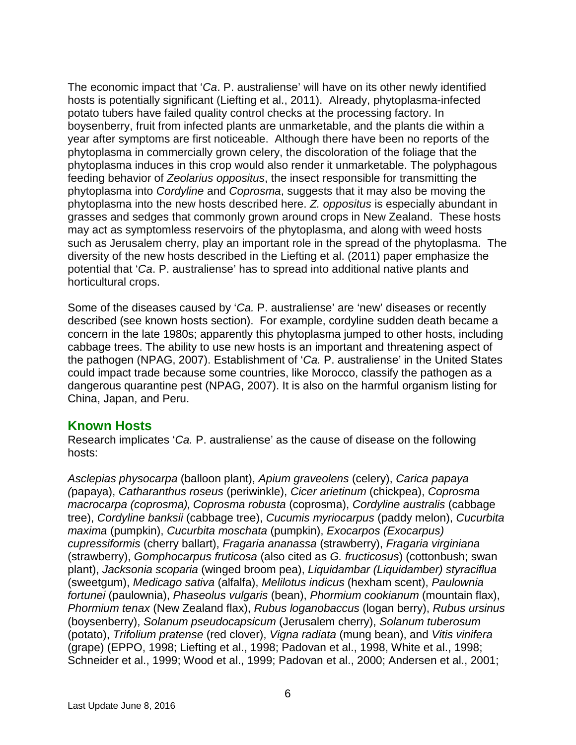The economic impact that '*Ca*. P. australiense' will have on its other newly identified hosts is potentially significant (Liefting et al., 2011). Already, phytoplasma-infected potato tubers have failed quality control checks at the processing factory. In boysenberry, fruit from infected plants are unmarketable, and the plants die within a year after symptoms are first noticeable. Although there have been no reports of the phytoplasma in commercially grown celery, the discoloration of the foliage that the phytoplasma induces in this crop would also render it unmarketable. The polyphagous feeding behavior of *Zeolarius oppositus*, the insect responsible for transmitting the phytoplasma into *Cordyline* and *Coprosma*, suggests that it may also be moving the phytoplasma into the new hosts described here. *Z. oppositus* is especially abundant in grasses and sedges that commonly grown around crops in New Zealand. These hosts may act as symptomless reservoirs of the phytoplasma, and along with weed hosts such as Jerusalem cherry, play an important role in the spread of the phytoplasma. The diversity of the new hosts described in the Liefting et al. (2011) paper emphasize the potential that '*Ca*. P. australiense' has to spread into additional native plants and horticultural crops.

Some of the diseases caused by '*Ca.* P. australiense' are 'new' diseases or recently described (see known hosts section). For example, cordyline sudden death became a concern in the late 1980s; apparently this phytoplasma jumped to other hosts, including cabbage trees. The ability to use new hosts is an important and threatening aspect of the pathogen (NPAG, 2007). Establishment of '*Ca.* P. australiense' in the United States could impact trade because some countries, like Morocco, classify the pathogen as a dangerous quarantine pest (NPAG, 2007). It is also on the harmful organism listing for China, Japan, and Peru.

#### **Known Hosts**

Research implicates '*Ca.* P. australiense' as the cause of disease on the following hosts:

*Asclepias physocarpa* (balloon plant), *Apium graveolens* (celery), *Carica papaya (*papaya), *Catharanthus roseus* (periwinkle), *Cicer arietinum* (chickpea), *Coprosma macrocarpa (coprosma), Coprosma robusta* (coprosma), *Cordyline australis* (cabbage tree), *Cordyline banksii* (cabbage tree), *Cucumis myriocarpus* (paddy melon), *Cucurbita maxima* (pumpkin), *Cucurbita moschata* (pumpkin), *Exocarpos (Exocarpus) cupressiformis* (cherry ballart), *Fragaria ananassa* (strawberry), *Fragaria virginiana*  (strawberry), *Gomphocarpus fruticosa* (also cited as *G. fructicosus*) (cottonbush; swan plant), *Jacksonia scoparia* (winged broom pea), *Liquidambar (Liquidamber) styraciflua* (sweetgum), *Medicago sativa* (alfalfa), *Melilotus indicus* (hexham scent), *Paulownia fortunei* (paulownia), *Phaseolus vulgaris* (bean), *Phormium cookianum* (mountain flax), *Phormium tenax* (New Zealand flax), *Rubus loganobaccus* (logan berry), *Rubus ursinus* (boysenberry), *Solanum pseudocapsicum* (Jerusalem cherry), *Solanum tuberosum* (potato), *Trifolium pratense* (red clover), *Vigna radiata* (mung bean), and *Vitis vinifera* (grape) (EPPO, 1998; Liefting et al., 1998; Padovan et al., 1998, White et al., 1998; Schneider et al., 1999; Wood et al., 1999; Padovan et al., 2000; Andersen et al., 2001;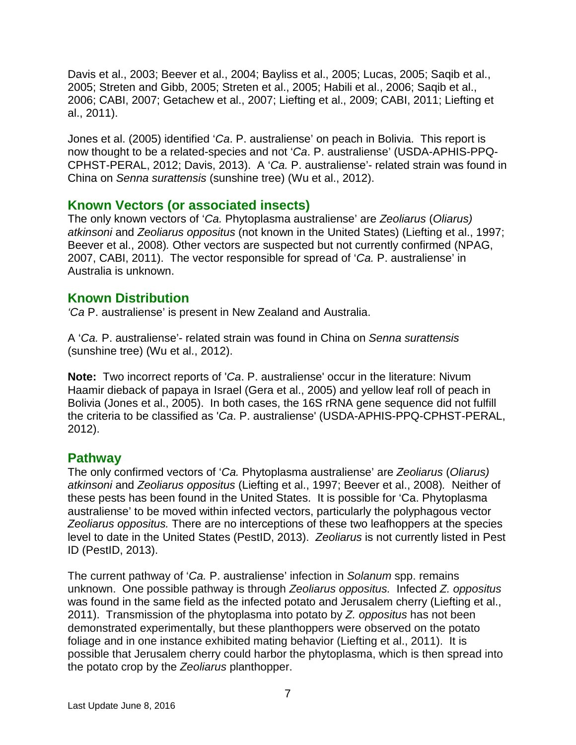Davis et al., 2003; Beever et al., 2004; Bayliss et al., 2005; Lucas, 2005; Saqib et al., 2005; Streten and Gibb, 2005; Streten et al., 2005; Habili et al., 2006; Saqib et al., 2006; CABI, 2007; Getachew et al., 2007; Liefting et al., 2009; CABI, 2011; Liefting et al., 2011).

Jones et al. (2005) identified '*Ca*. P. australiense' on peach in Bolivia. This report is now thought to be a related-species and not '*Ca*. P. australiense' (USDA-APHIS-PPQ-CPHST-PERAL, 2012; Davis, 2013). A '*Ca.* P. australiense'- related strain was found in China on *Senna surattensis* (sunshine tree) (Wu et al., 2012).

### **Known Vectors (or associated insects)**

The only known vectors of '*Ca.* Phytoplasma australiense' are *Zeoliarus* (*Oliarus) atkinsoni* and *Zeoliarus oppositus* (not known in the United States) (Liefting et al., 1997; Beever et al., 2008)*.* Other vectors are suspected but not currently confirmed (NPAG, 2007, CABI, 2011). The vector responsible for spread of '*Ca.* P. australiense' in Australia is unknown.

### **Known Distribution**

*'Ca* P. australiense' is present in New Zealand and Australia.

A '*Ca.* P. australiense'- related strain was found in China on *Senna surattensis* (sunshine tree) (Wu et al., 2012).

**Note:** Two incorrect reports of '*Ca*. P. australiense' occur in the literature: Nivum Haamir dieback of papaya in Israel (Gera et al., 2005) and yellow leaf roll of peach in Bolivia (Jones et al., 2005). In both cases, the 16S rRNA gene sequence did not fulfill the criteria to be classified as '*Ca*. P. australiense' (USDA-APHIS-PPQ-CPHST-PERAL, 2012).

### **Pathway**

The only confirmed vectors of '*Ca.* Phytoplasma australiense' are *Zeoliarus* (*Oliarus) atkinsoni* and *Zeoliarus oppositus* (Liefting et al., 1997; Beever et al., 2008)*.* Neither of these pests has been found in the United States. It is possible for 'Ca. Phytoplasma australiense' to be moved within infected vectors, particularly the polyphagous vector *Zeoliarus oppositus.* There are no interceptions of these two leafhoppers at the species level to date in the United States (PestID, 2013). *Zeoliarus* is not currently listed in Pest ID (PestID, 2013).

The current pathway of '*Ca.* P. australiense' infection in *Solanum* spp. remains unknown. One possible pathway is through *Zeoliarus oppositus.* Infected *Z. oppositus* was found in the same field as the infected potato and Jerusalem cherry (Liefting et al., 2011). Transmission of the phytoplasma into potato by *Z. oppositus* has not been demonstrated experimentally, but these planthoppers were observed on the potato foliage and in one instance exhibited mating behavior (Liefting et al., 2011). It is possible that Jerusalem cherry could harbor the phytoplasma, which is then spread into the potato crop by the *Zeoliarus* planthopper.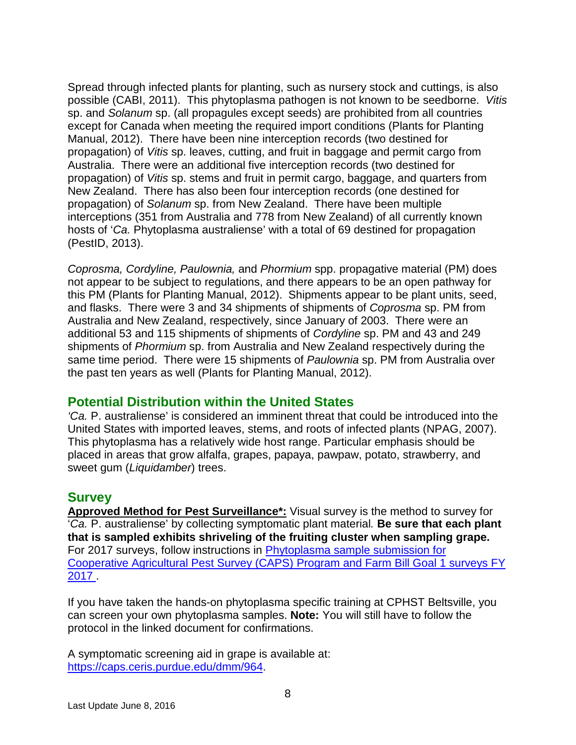Spread through infected plants for planting, such as nursery stock and cuttings, is also possible (CABI, 2011). This phytoplasma pathogen is not known to be seedborne. *Vitis* sp. and *Solanum* sp. (all propagules except seeds) are prohibited from all countries except for Canada when meeting the required import conditions (Plants for Planting Manual, 2012). There have been nine interception records (two destined for propagation) of *Vitis* sp. leaves, cutting, and fruit in baggage and permit cargo from Australia. There were an additional five interception records (two destined for propagation) of *Vitis* sp. stems and fruit in permit cargo, baggage, and quarters from New Zealand. There has also been four interception records (one destined for propagation) of *Solanum* sp. from New Zealand. There have been multiple interceptions (351 from Australia and 778 from New Zealand) of all currently known hosts of '*Ca.* Phytoplasma australiense' with a total of 69 destined for propagation (PestID, 2013).

*Coprosma, Cordyline, Paulownia,* and *Phormium* spp. propagative material (PM) does not appear to be subject to regulations, and there appears to be an open pathway for this PM (Plants for Planting Manual, 2012). Shipments appear to be plant units, seed, and flasks. There were 3 and 34 shipments of shipments of *Coprosma* sp. PM from Australia and New Zealand, respectively, since January of 2003. There were an additional 53 and 115 shipments of shipments of *Cordyline* sp. PM and 43 and 249 shipments of *Phormium* sp. from Australia and New Zealand respectively during the same time period. There were 15 shipments of *Paulownia* sp. PM from Australia over the past ten years as well (Plants for Planting Manual, 2012).

### **Potential Distribution within the United States**

*'Ca.* P. australiense' is considered an imminent threat that could be introduced into the United States with imported leaves, stems, and roots of infected plants (NPAG, 2007). This phytoplasma has a relatively wide host range. Particular emphasis should be placed in areas that grow alfalfa, grapes, papaya, pawpaw, potato, strawberry, and sweet gum (*Liquidamber*) trees.

### **Survey**

**Approved Method for Pest Surveillance\*:** Visual survey is the method to survey for '*Ca.* P. australiense' by collecting symptomatic plant material*.* **Be sure that each plant that is sampled exhibits shriveling of the fruiting cluster when sampling grape.** For 2017 surveys, follow instructions in [Phytoplasma sample submission for](http://caps.ceris.purdue.edu/webfm_send/2966)  [Cooperative Agricultural Pest Survey \(CAPS\) Program and Farm Bill Goal 1 surveys FY](http://caps.ceris.purdue.edu/webfm_send/2966)  [2017 .](http://caps.ceris.purdue.edu/webfm_send/2966)

If you have taken the hands-on phytoplasma specific training at CPHST Beltsville, you can screen your own phytoplasma samples. **Note:** You will still have to follow the protocol in the linked document for confirmations.

A symptomatic screening aid in grape is available at: [https://caps.ceris.purdue.edu/dmm/964.](https://caps.ceris.purdue.edu/dmm/964)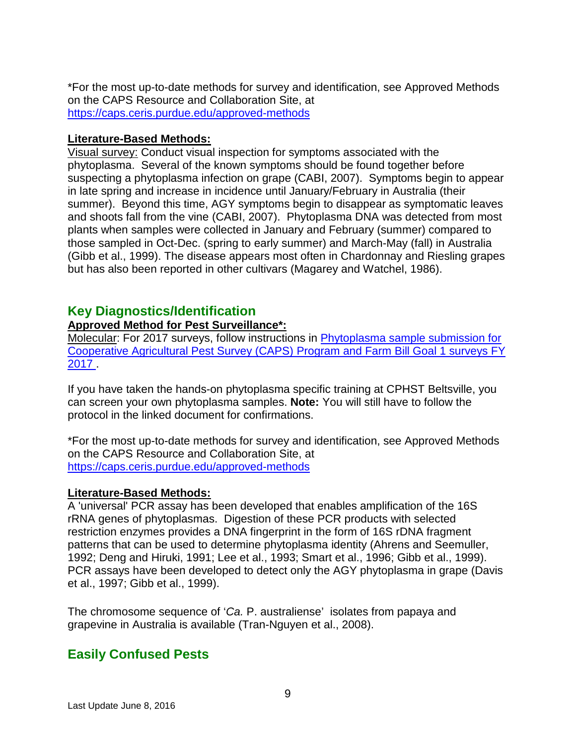\*For the most up-to-date methods for survey and identification, see Approved Methods on the CAPS Resource and Collaboration Site, at <https://caps.ceris.purdue.edu/approved-methods>

#### **Literature-Based Methods:**

Visual survey: Conduct visual inspection for symptoms associated with the phytoplasma. Several of the known symptoms should be found together before suspecting a phytoplasma infection on grape (CABI, 2007). Symptoms begin to appear in late spring and increase in incidence until January/February in Australia (their summer). Beyond this time, AGY symptoms begin to disappear as symptomatic leaves and shoots fall from the vine (CABI, 2007). Phytoplasma DNA was detected from most plants when samples were collected in January and February (summer) compared to those sampled in Oct-Dec. (spring to early summer) and March-May (fall) in Australia (Gibb et al., 1999). The disease appears most often in Chardonnay and Riesling grapes but has also been reported in other cultivars (Magarey and Watchel, 1986).

### **Key Diagnostics/Identification**

#### **Approved Method for Pest Surveillance\*:**

Molecular: For 2017 surveys, follow instructions in [Phytoplasma sample submission for](http://caps.ceris.purdue.edu/webfm_send/2966)  [Cooperative Agricultural Pest Survey \(CAPS\) Program and Farm Bill Goal 1 surveys FY](http://caps.ceris.purdue.edu/webfm_send/2966)  [2017 .](http://caps.ceris.purdue.edu/webfm_send/2966)

If you have taken the hands-on phytoplasma specific training at CPHST Beltsville, you can screen your own phytoplasma samples. **Note:** You will still have to follow the protocol in the linked document for confirmations.

\*For the most up-to-date methods for survey and identification, see Approved Methods on the CAPS Resource and Collaboration Site, at <https://caps.ceris.purdue.edu/approved-methods>

#### **Literature-Based Methods:**

A 'universal' PCR assay has been developed that enables amplification of the 16S rRNA genes of phytoplasmas. Digestion of these PCR products with selected restriction enzymes provides a DNA fingerprint in the form of 16S rDNA fragment patterns that can be used to determine phytoplasma identity (Ahrens and Seemuller, 1992; Deng and Hiruki, 1991; Lee et al., 1993; Smart et al., 1996; Gibb et al., 1999). PCR assays have been developed to detect only the AGY phytoplasma in grape (Davis et al., 1997; Gibb et al., 1999).

The chromosome sequence of '*Ca.* P. australiense' isolates from papaya and grapevine in Australia is available (Tran-Nguyen et al., 2008).

# **Easily Confused Pests**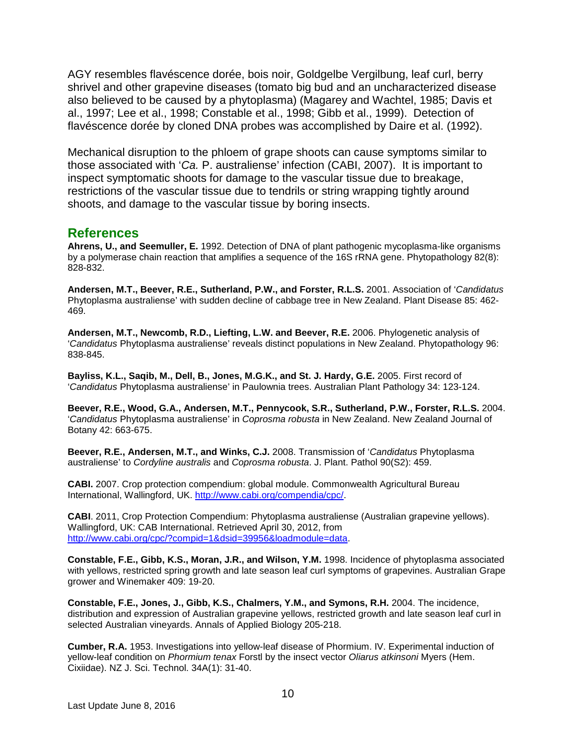AGY resembles flavéscence dorée, bois noir, Goldgelbe Vergilbung, leaf curl, berry shrivel and other grapevine diseases (tomato big bud and an uncharacterized disease also believed to be caused by a phytoplasma) (Magarey and Wachtel, 1985; Davis et al., 1997; Lee et al., 1998; Constable et al., 1998; Gibb et al., 1999). Detection of flavéscence dorée by cloned DNA probes was accomplished by Daire et al. (1992).

Mechanical disruption to the phloem of grape shoots can cause symptoms similar to those associated with '*Ca.* P. australiense' infection (CABI, 2007). It is important to inspect symptomatic shoots for damage to the vascular tissue due to breakage, restrictions of the vascular tissue due to tendrils or string wrapping tightly around shoots, and damage to the vascular tissue by boring insects.

#### **References**

**Ahrens, U., and Seemuller, E.** 1992. Detection of DNA of plant pathogenic mycoplasma-like organisms by a polymerase chain reaction that amplifies a sequence of the 16S rRNA gene. Phytopathology 82(8): 828-832.

**Andersen, M.T., Beever, R.E., Sutherland, P.W., and Forster, R.L.S.** 2001. Association of '*Candidatus* Phytoplasma australiense' with sudden decline of cabbage tree in New Zealand. Plant Disease 85: 462- 469.

**Andersen, M.T., Newcomb, R.D., Liefting, L.W. and Beever, R.E.** 2006. Phylogenetic analysis of '*Candidatus* Phytoplasma australiense' reveals distinct populations in New Zealand. Phytopathology 96: 838-845.

**Bayliss, K.L., Saqib, M., Dell, B., Jones, M.G.K., and St. J. Hardy, G.E.** 2005. First record of '*Candidatus* Phytoplasma australiense' in Paulownia trees. Australian Plant Pathology 34: 123-124.

**Beever, R.E., Wood, G.A., Andersen, M.T., Pennycook, S.R., Sutherland, P.W., Forster, R.L.S.** 2004. '*Candidatus* Phytoplasma australiense' in *Coprosma robusta* in New Zealand. New Zealand Journal of Botany 42: 663-675.

**Beever, R.E., Andersen, M.T., and Winks, C.J.** 2008. Transmission of '*Candidatus* Phytoplasma australiense' to *Cordyline australis* and *Coprosma robusta*. J. Plant. Pathol 90(S2): 459.

**CABI.** 2007. Crop protection compendium: global module. Commonwealth Agricultural Bureau International, Wallingford, UK. [http://www.cabi.org/compendia/cpc/.](http://www.cabi.org/compendia/cpc/)

**CABI**. 2011, Crop Protection Compendium: Phytoplasma australiense (Australian grapevine yellows). Wallingford, UK: CAB International. Retrieved April 30, 2012, from [http://www.cabi.org/cpc/?compid=1&dsid=39956&loadmodule=data.](http://www.cabi.org/cpc/?compid=1&dsid=39956&loadmodule=data)

**Constable, F.E., Gibb, K.S., Moran, J.R., and Wilson, Y.M.** 1998. Incidence of phytoplasma associated with yellows, restricted spring growth and late season leaf curl symptoms of grapevines. Australian Grape grower and Winemaker 409: 19-20.

**Constable, F.E., Jones, J., Gibb, K.S., Chalmers, Y.M., and Symons, R.H.** 2004. The incidence, distribution and expression of Australian grapevine yellows, restricted growth and late season leaf curl in selected Australian vineyards. Annals of Applied Biology 205-218.

**Cumber, R.A.** 1953. Investigations into yellow-leaf disease of Phormium. IV. Experimental induction of yellow-leaf condition on *Phormium tenax* Forstl by the insect vector *Oliarus atkinsoni* Myers (Hem. Cixiidae). NZ J. Sci. Technol. 34A(1): 31-40.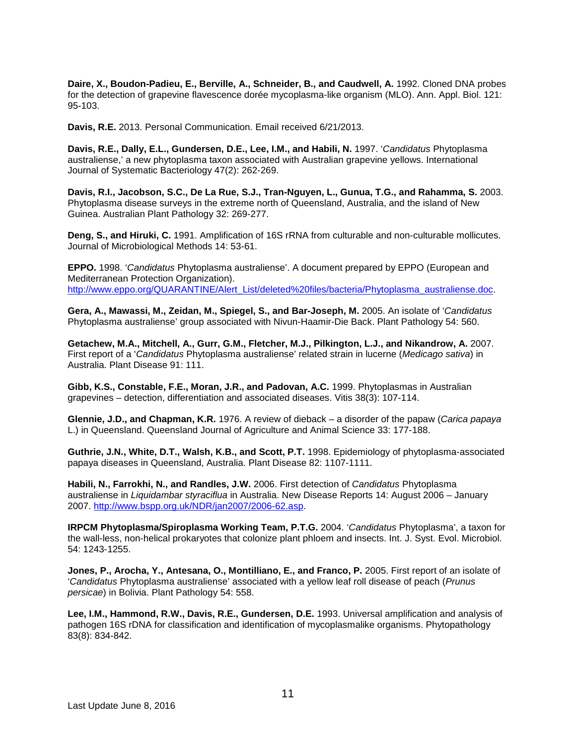Daire, X., Boudon-Padieu, E., Berville, A., Schneider, B., and Caudwell, A. 1992. Cloned DNA probes for the detection of grapevine flavescence dorée mycoplasma-like organism (MLO). Ann. Appl. Biol. 121: 95-103.

**Davis, R.E.** 2013. Personal Communication. Email received 6/21/2013.

**Davis, R.E., Dally, E.L., Gundersen, D.E., Lee, I.M., and Habili, N.** 1997. '*Candidatus* Phytoplasma australiense,' a new phytoplasma taxon associated with Australian grapevine yellows. International Journal of Systematic Bacteriology 47(2): 262-269.

**Davis, R.I., Jacobson, S.C., De La Rue, S.J., Tran-Nguyen, L., Gunua, T.G., and Rahamma, S.** 2003. Phytoplasma disease surveys in the extreme north of Queensland, Australia, and the island of New Guinea. Australian Plant Pathology 32: 269-277.

**Deng, S., and Hiruki, C.** 1991. Amplification of 16S rRNA from culturable and non-culturable mollicutes. Journal of Microbiological Methods 14: 53-61.

**EPPO.** 1998. '*Candidatus* Phytoplasma australiense'. A document prepared by EPPO (European and Mediterranean Protection Organization). [http://www.eppo.org/QUARANTINE/Alert\\_List/deleted%20files/bacteria/Phytoplasma\\_australiense.doc.](http://www.eppo.org/QUARANTINE/Alert_List/deleted%20files/bacteria/Phytoplasma_australiense.doc)

**Gera, A., Mawassi, M., Zeidan, M., Spiegel, S., and Bar-Joseph, M.** 2005. An isolate of '*Candidatus* Phytoplasma australiense' group associated with Nivun-Haamir-Die Back. Plant Pathology 54: 560.

**Getachew, M.A., Mitchell, A., Gurr, G.M., Fletcher, M.J., Pilkington, L.J., and Nikandrow, A.** 2007. First report of a '*Candidatus* Phytoplasma australiense' related strain in lucerne (*Medicago sativa*) in Australia. Plant Disease 91: 111.

**Gibb, K.S., Constable, F.E., Moran, J.R., and Padovan, A.C.** 1999. Phytoplasmas in Australian grapevines – detection, differentiation and associated diseases. Vitis 38(3): 107-114.

**Glennie, J.D., and Chapman, K.R.** 1976. A review of dieback – a disorder of the papaw (*Carica papaya* L.) in Queensland. Queensland Journal of Agriculture and Animal Science 33: 177-188.

**Guthrie, J.N., White, D.T., Walsh, K.B., and Scott, P.T.** 1998. Epidemiology of phytoplasma-associated papaya diseases in Queensland, Australia. Plant Disease 82: 1107-1111.

**Habili, N., Farrokhi, N., and Randles, J.W.** 2006. First detection of *Candidatus* Phytoplasma australiense in *Liquidambar styraciflua* in Australia. New Disease Reports 14: August 2006 – January 2007. [http://www.bspp.org.uk/NDR/jan2007/2006-62.asp.](http://www.bspp.org.uk/NDR/jan2007/2006-62.asp)

**IRPCM Phytoplasma/Spiroplasma Working Team, P.T.G.** 2004. '*Candidatus* Phytoplasma', a taxon for the wall-less, non-helical prokaryotes that colonize plant phloem and insects. Int. J. Syst. Evol. Microbiol. 54: 1243-1255.

**Jones, P., Arocha, Y., Antesana, O., Montilliano, E., and Franco, P.** 2005. First report of an isolate of '*Candidatus* Phytoplasma australiense' associated with a yellow leaf roll disease of peach (*Prunus persicae*) in Bolivia. Plant Pathology 54: 558.

**Lee, I.M., Hammond, R.W., Davis, R.E., Gundersen, D.E.** 1993. Universal amplification and analysis of pathogen 16S rDNA for classification and identification of mycoplasmalike organisms. Phytopathology 83(8): 834-842.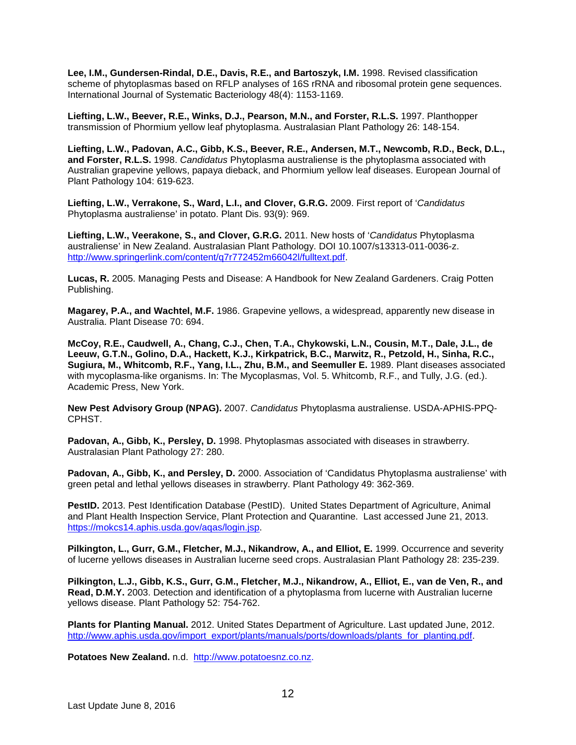**Lee, I.M., Gundersen-Rindal, D.E., Davis, R.E., and Bartoszyk, I.M.** 1998. Revised classification scheme of phytoplasmas based on RFLP analyses of 16S rRNA and ribosomal protein gene sequences. International Journal of Systematic Bacteriology 48(4): 1153-1169.

**Liefting, L.W., Beever, R.E., Winks, D.J., Pearson, M.N., and Forster, R.L.S.** 1997. Planthopper transmission of Phormium yellow leaf phytoplasma. Australasian Plant Pathology 26: 148-154.

**Liefting, L.W., Padovan, A.C., Gibb, K.S., Beever, R.E., Andersen, M.T., Newcomb, R.D., Beck, D.L., and Forster, R.L.S.** 1998. *Candidatus* Phytoplasma australiense is the phytoplasma associated with Australian grapevine yellows, papaya dieback, and Phormium yellow leaf diseases. European Journal of Plant Pathology 104: 619-623.

**Liefting, L.W., Verrakone, S., Ward, L.I., and Clover, G.R.G.** 2009. First report of '*Candidatus*  Phytoplasma australiense' in potato. Plant Dis. 93(9): 969.

**Liefting, L.W., Veerakone, S., and Clover, G.R.G.** 2011. New hosts of '*Candidatus* Phytoplasma australiense' in New Zealand. Australasian Plant Pathology. DOI 10.1007/s13313-011-0036-z. [http://www.springerlink.com/content/q7r772452m66042l/fulltext.pdf.](http://www.springerlink.com/content/q7r772452m66042l/fulltext.pdf)

**Lucas, R.** 2005. Managing Pests and Disease: A Handbook for New Zealand Gardeners. Craig Potten Publishing.

**Magarey, P.A., and Wachtel, M.F.** 1986. Grapevine yellows, a widespread, apparently new disease in Australia. Plant Disease 70: 694.

**McCoy, R.E., Caudwell, A., Chang, C.J., Chen, T.A., Chykowski, L.N., Cousin, M.T., Dale, J.L., de Leeuw, G.T.N., Golino, D.A., Hackett, K.J., Kirkpatrick, B.C., Marwitz, R., Petzold, H., Sinha, R.C., Sugiura, M., Whitcomb, R.F., Yang, I.L., Zhu, B.M., and Seemuller E.** 1989. Plant diseases associated with mycoplasma-like organisms. In: The Mycoplasmas, Vol. 5. Whitcomb, R.F., and Tully, J.G. (ed.). Academic Press, New York.

**New Pest Advisory Group (NPAG).** 2007. *Candidatus* Phytoplasma australiense. USDA-APHIS-PPQ-CPHST.

**Padovan, A., Gibb, K., Persley, D.** 1998. Phytoplasmas associated with diseases in strawberry. Australasian Plant Pathology 27: 280.

**Padovan, A., Gibb, K., and Persley, D.** 2000. Association of 'Candidatus Phytoplasma australiense' with green petal and lethal yellows diseases in strawberry. Plant Pathology 49: 362-369.

**PestID.** 2013. Pest Identification Database (PestID). United States Department of Agriculture, Animal and Plant Health Inspection Service, Plant Protection and Quarantine. Last accessed June 21, 2013. [https://mokcs14.aphis.usda.gov/aqas/login.jsp.](https://mokcs14.aphis.usda.gov/aqas/login.jsp)

Pilkington, L., Gurr, G.M., Fletcher, M.J., Nikandrow, A., and Elliot, E. 1999. Occurrence and severity of lucerne yellows diseases in Australian lucerne seed crops. Australasian Plant Pathology 28: 235-239.

**Pilkington, L.J., Gibb, K.S., Gurr, G.M., Fletcher, M.J., Nikandrow, A., Elliot, E., van de Ven, R., and Read, D.M.Y.** 2003. Detection and identification of a phytoplasma from lucerne with Australian lucerne yellows disease. Plant Pathology 52: 754-762.

**Plants for Planting Manual.** 2012. United States Department of Agriculture. Last updated June, 2012. [http://www.aphis.usda.gov/import\\_export/plants/manuals/ports/downloads/plants\\_for\\_planting.pdf.](http://www.aphis.usda.gov/import_export/plants/manuals/ports/downloads/plants_for_planting.pdf)

**Potatoes New Zealand.** n.d.[http://www.potatoesnz.co.nz.](http://www.potatoesnz.co.nz/)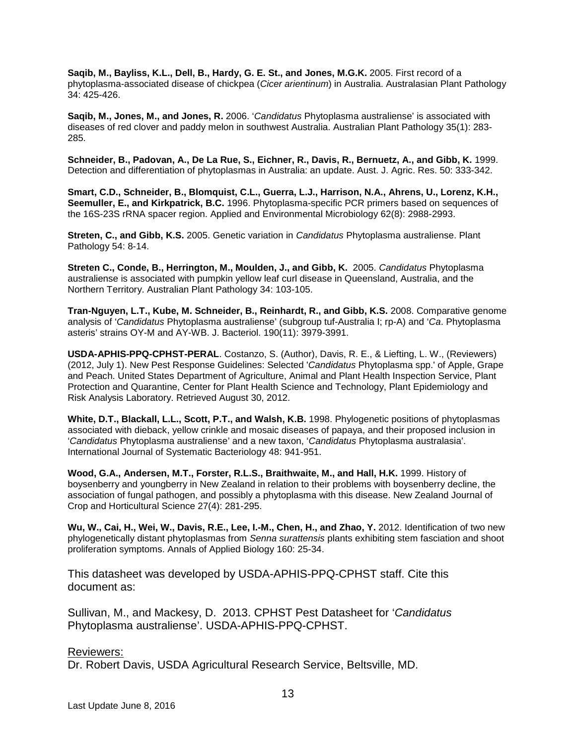**Saqib, M., Bayliss, K.L., Dell, B., Hardy, G. E. St., and Jones, M.G.K.** 2005. First record of a phytoplasma-associated disease of chickpea (*Cicer arientinum*) in Australia. Australasian Plant Pathology 34: 425-426.

**Saqib, M., Jones, M., and Jones, R.** 2006. '*Candidatus* Phytoplasma australiense' is associated with diseases of red clover and paddy melon in southwest Australia. Australian Plant Pathology 35(1): 283- 285.

**Schneider, B., Padovan, A., De La Rue, S., Eichner, R., Davis, R., Bernuetz, A., and Gibb, K.** 1999. Detection and differentiation of phytoplasmas in Australia: an update. Aust. J. Agric. Res. 50: 333-342.

**Smart, C.D., Schneider, B., Blomquist, C.L., Guerra, L.J., Harrison, N.A., Ahrens, U., Lorenz, K.H., Seemuller, E., and Kirkpatrick, B.C.** 1996. Phytoplasma-specific PCR primers based on sequences of the 16S-23S rRNA spacer region. Applied and Environmental Microbiology 62(8): 2988-2993.

**Streten, C., and Gibb, K.S.** 2005. Genetic variation in *Candidatus* Phytoplasma australiense. Plant Pathology 54: 8-14.

**Streten C., Conde, B., Herrington, M., Moulden, J., and Gibb, K.** 2005. *Candidatus* Phytoplasma australiense is associated with pumpkin yellow leaf curl disease in Queensland, Australia, and the Northern Territory. Australian Plant Pathology 34: 103-105.

**Tran-Nguyen, L.T., Kube, M. Schneider, B., Reinhardt, R., and Gibb, K.S.** 2008. Comparative genome analysis of '*Candidatus* Phytoplasma australiense' (subgroup tuf-Australia I; rp-A) and '*Ca*. Phytoplasma asteris' strains OY-M and AY-WB. J. Bacteriol. 190(11): 3979-3991.

**USDA-APHIS-PPQ-CPHST-PERAL**. Costanzo, S. (Author), Davis, R. E., & Liefting, L. W., (Reviewers) (2012, July 1). New Pest Response Guidelines: Selected '*Candidatus* Phytoplasma spp.' of Apple, Grape and Peach. United States Department of Agriculture, Animal and Plant Health Inspection Service, Plant Protection and Quarantine, Center for Plant Health Science and Technology, Plant Epidemiology and Risk Analysis Laboratory. Retrieved August 30, 2012.

**White, D.T., Blackall, L.L., Scott, P.T., and Walsh, K.B.** 1998. Phylogenetic positions of phytoplasmas associated with dieback, yellow crinkle and mosaic diseases of papaya, and their proposed inclusion in '*Candidatus* Phytoplasma australiense' and a new taxon, '*Candidatus* Phytoplasma australasia'. International Journal of Systematic Bacteriology 48: 941-951.

**Wood, G.A., Andersen, M.T., Forster, R.L.S., Braithwaite, M., and Hall, H.K.** 1999. History of boysenberry and youngberry in New Zealand in relation to their problems with boysenberry decline, the association of fungal pathogen, and possibly a phytoplasma with this disease. New Zealand Journal of Crop and Horticultural Science 27(4): 281-295.

**Wu, W., Cai, H., Wei, W., Davis, R.E., Lee, I.-M., Chen, H., and Zhao, Y.** 2012. Identification of two new phylogenetically distant phytoplasmas from *Senna surattensis* plants exhibiting stem fasciation and shoot proliferation symptoms. Annals of Applied Biology 160: 25-34.

This datasheet was developed by USDA-APHIS-PPQ-CPHST staff. Cite this document as:

Sullivan, M., and Mackesy, D. 2013. CPHST Pest Datasheet for '*Candidatus*  Phytoplasma australiense'. USDA-APHIS-PPQ-CPHST.

#### Reviewers:

Dr. Robert Davis, USDA Agricultural Research Service, Beltsville, MD.